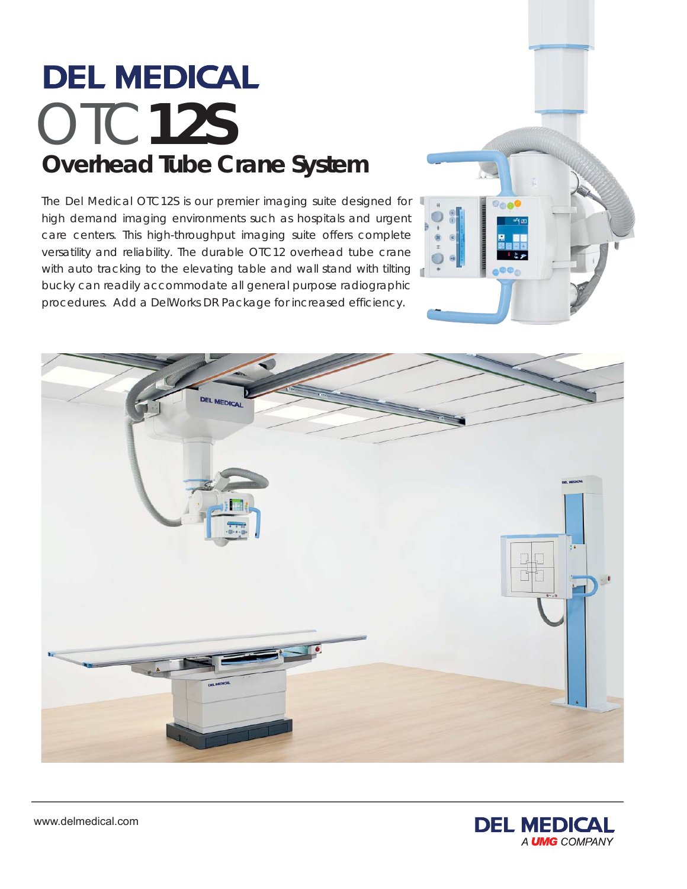# **DEL MEDICAL** OTC**12S Overhead Tube Crane System**

The Del Medical OTC12S is our premier imaging suite designed for high demand imaging environments such as hospitals and urgent care centers. This high-throughput imaging suite offers complete versatility and reliability. The durable OTC12 overhead tube crane with auto tracking to the elevating table and wall stand with tilting bucky can readily accommodate all general purpose radiographic procedures. Add a DelWorks DR Package for increased efficiency.





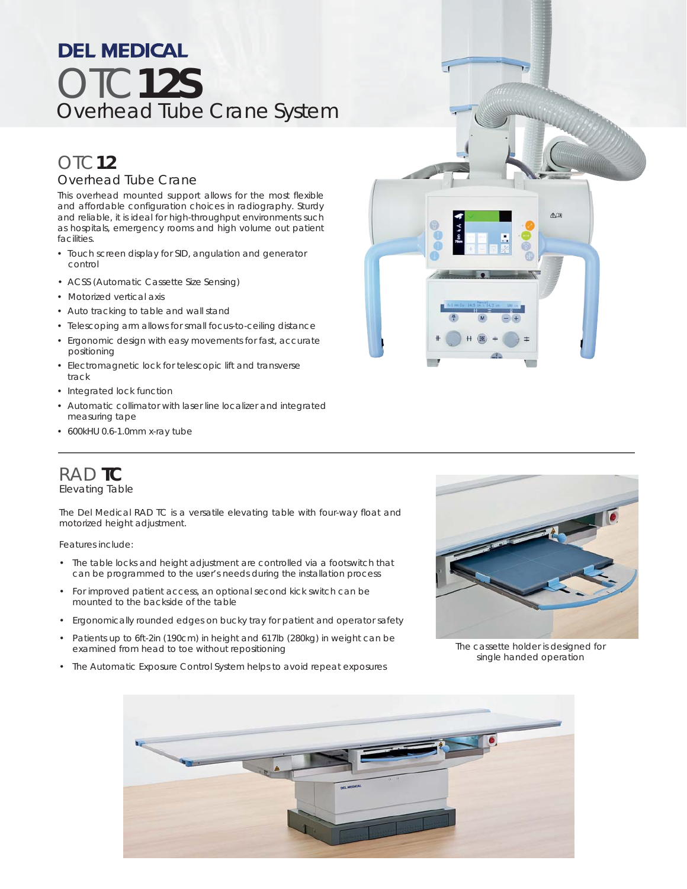## **DEL MEDICAL** OTC**12S**  Overhead Tube Crane System

### OTC**12** Overhead Tube Crane

This overhead mounted support allows for the most flexible and affordable configuration choices in radiography. Sturdy and reliable, it is ideal for high-throughput environments such as hospitals, emergency rooms and high volume out patient facilities.

- Touch screen display for SID, angulation and generator control
- ACSS (Automatic Cassette Size Sensing)
- Motorized vertical axis
- Auto tracking to table and wall stand
- Telescoping arm allows for small focus-to-ceiling distance
- Ergonomic design with easy movements for fast, accurate positioning
- Electromagnetic lock for telescopic lift and transverse track
- Integrated lock function
- Automatic collimator with laser line localizer and integrated measuring tape
- 600kHU 0.6-1.0mm x-ray tube



## RAD **TC**

Elevating Table

The Del Medical RAD TC is a versatile elevating table with four-way float and motorized height adjustment.

Features include:

- The table locks and height adjustment are controlled via a footswitch that can be programmed to the user's needs during the installation process
- For improved patient access, an optional second kick switch can be mounted to the backside of the table
- Ergonomically rounded edges on bucky tray for patient and operator safety
- Patients up to 6ft-2in (190cm) in height and 617lb (280kg) in weight can be examined from head to toe without repositioning
- The Automatic Exposure Control System helps to avoid repeat exposures



*The cassette holder is designed for single handed operation*

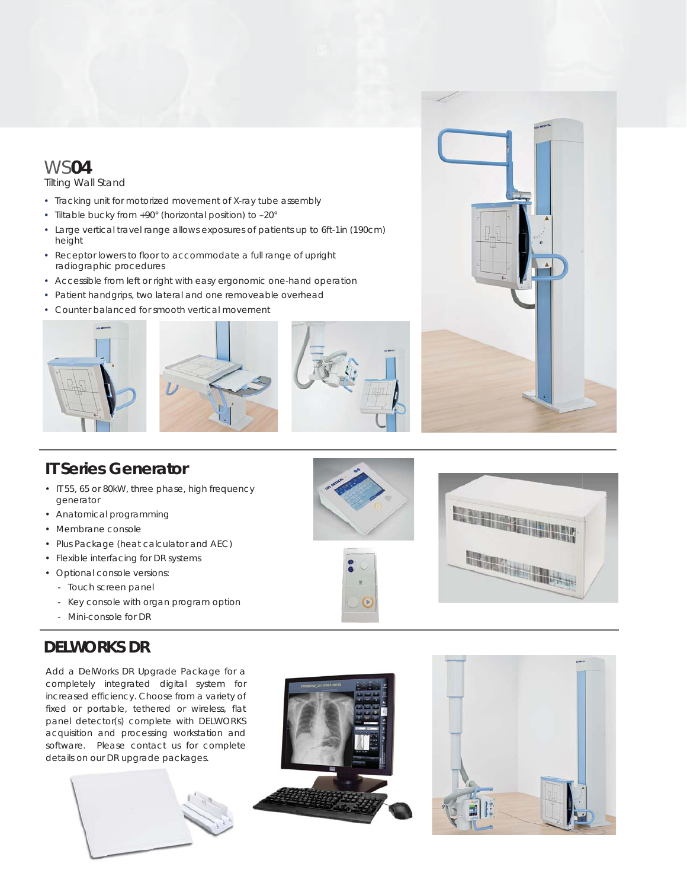## WS**04**

Tilting Wall Stand

- Tracking unit for motorized movement of X-ray tube assembly
- Tiltable bucky from +90° (horizontal position) to –20°
- Large vertical travel range allows exposures of patients up to 6ft-1in (190cm) height
- Receptor lowers to floor to accommodate a full range of upright radiographic procedures
- Accessible from left or right with easy ergonomic one-hand operation
- Patient handgrips, two lateral and one removeable overhead
- Counter balanced for smooth vertical movement









### **IT Series Generator**

- IT 55, 65 or 80kW, three phase, high frequency generator
- Anatomical programming
- Membrane console
- Plus Package (heat calculator and AEC)
- Flexible interfacing for DR systems
- Optional console versions:
	- Touch screen panel
	- Key console with organ program option
	- Mini-console for DR

### **DELWORKS DR**

Add a DelWorks DR Upgrade Package for a completely integrated digital system for increased efficiency. Choose from a variety of fixed or portable, tethered or wireless, flat panel detector(s) complete with DELWORKS acquisition and processing workstation and software. Please contact us for complete details on our DR upgrade packages.